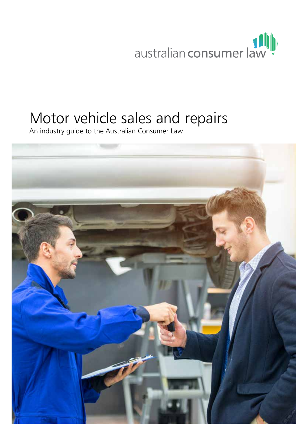australian consumer law

# Motor vehicle sales and repairs

An industry guide to the Australian Consumer Law

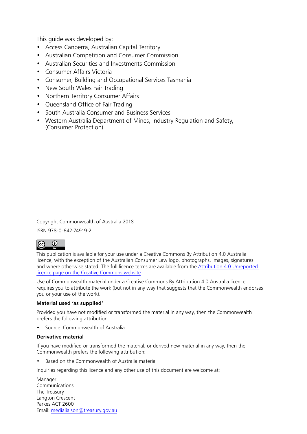This guide was developed by:

- Access Canberra, Australian Capital Territory
- Australian Competition and Consumer Commission
- Australian Securities and Investments Commission
- Consumer Affairs Victoria
- Consumer, Building and Occupational Services Tasmania
- New South Wales Fair Trading
- Northern Territory Consumer Affairs
- Queensland Office of Fair Trading
- South Australia Consumer and Business Services
- Western Australia Department of Mines, Industry Regulation and Safety, (Consumer Protection)

Copyright Commonwealth of Australia 2018

ISBN 978-0-642-74919-2



This publication is available for your use under a Creative Commons By Attribution 4.0 Australia licence, with the exception of the Australian Consumer Law logo, photographs, images, signatures and where otherwise stated. The full licence terms are available from the Attribution 4.0 [Unreported](https://creativecommons.org/licenses/by/4.0/) licence page on the Creative [Commons](https://creativecommons.org/licenses/by/4.0/) website.

Use of Commonwealth material under a Creative Commons By Attribution 4.0 Australia licence requires you to attribute the work (but not in any way that suggests that the Commonwealth endorses you or your use of the work).

#### **Material used 'as supplied'**

Provided you have not modified or transformed the material in any way, then the Commonwealth prefers the following attribution:

• Source: Commonwealth of Australia

#### **Derivative material**

If you have modified or transformed the material, or derived new material in any way, then the Commonwealth prefers the following attribution:

• Based on the Commonwealth of Australia material

Inquiries regarding this licence and any other use of this document are welcome at:

Manager Communications The Treasury Langton Crescent Parkes ACT 2600 Email: [medialiaison@treasury.gov.au](mailto:medialiaison%40treasury.gov.au?subject=)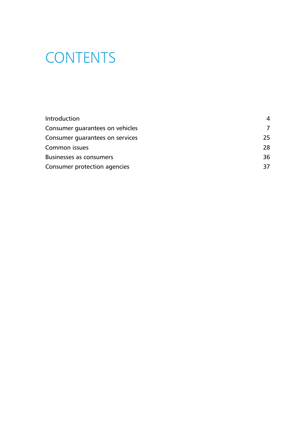# **CONTENTS**

| <b>Introduction</b>             | 4   |
|---------------------------------|-----|
| Consumer guarantees on vehicles |     |
| Consumer guarantees on services | 25. |
| Common issues                   | 28. |
| <b>Businesses as consumers</b>  | 36  |
| Consumer protection agencies    | 37  |
|                                 |     |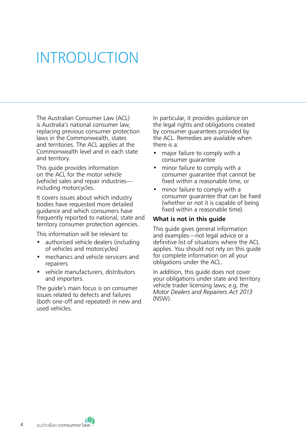# <span id="page-3-0"></span>INTRODUCTION

The Australian Consumer Law (ACL) is Australia's national consumer law, replacing previous consumer protection laws in the Commonwealth, states and territories. The ACL applies at the Commonwealth level and in each state and territory.

This guide provides information on the ACL for the motor vehicle (vehicle) sales and repair industries including motorcycles.

It covers issues about which industry bodies have requested more detailed guidance and which consumers have frequently reported to national, state and territory consumer protection agencies.

This information will be relevant to:

- authorised vehicle dealers (including of vehicles and motorcycles)
- mechanics and vehicle servicers and repairers
- vehicle manufacturers, distributors and importers.

The guide's main focus is on consumer issues related to defects and failures (both one-off and repeated) in new and used vehicles.

In particular, it provides guidance on the legal rights and obligations created by consumer guarantees provided by the ACL. Remedies are available when there is a:

- major failure to comply with a consumer guarantee
- minor failure to comply with a consumer guarantee that cannot be fixed within a reasonable time, or
- minor failure to comply with a consumer guarantee that can be fixed (whether or not it is capable of being fixed within a reasonable time).

#### **What is not in this guide**

This quide gives general information and examples—not legal advice or a definitive list of situations where the ACL applies. You should not rely on this guide for complete information on all your obligations under the ACL.

In addition, this guide does not cover your obligations under state and territory vehicle trader licensing laws; e.g. the *Motor Dealers and Repairers Act 2013*  (NSW).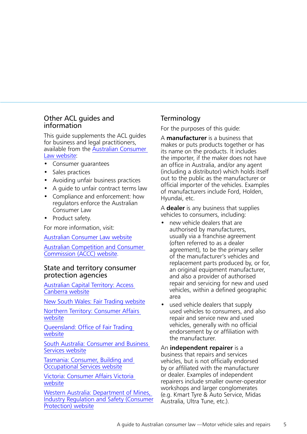## Other ACL guides and information

This guide supplements the ACL guides for business and legal practitioners, available from the [Australian Consumer](http://www.consumerlaw.gov.au/)  [Law website](http://www.consumerlaw.gov.au/):

- Consumer guarantees
- Sales practices
- Avoiding unfair business practices
- A guide to unfair contract terms law
- Compliance and enforcement: how regulators enforce the Australian Consumer Law
- Product safety.

For more information, visit:

[Australian Consumer Law website](http://www.consumerlaw.gov.au/)

[Australian Competition and Consumer](http://www.accc.gov.au)  [Commission \(ACCC\) website.](http://www.accc.gov.au)

#### State and territory consumer protection agencies

[Australian Capital Territory:](http://www.accesscanberra.act.gov.au) [Access](http://www.ors.act.gov.au/)  [Canberra website](http://www.ors.act.gov.au/)

[New South Wales: Fair Trading website](http://www.fairtrading.nsw.gov.au/)

[Northern Territory: Consumer Affairs](http://www.consumeraffairs.nt.gov.au/)  [website](http://www.consumeraffairs.nt.gov.au/)

[Queensland: Office of Fair](http://www.qld.gov.au/fairtrading) Trading [website](http://www.qld.gov.au/fairtrading)

[South Australia: Consumer and Business](https://www.cbs.sa.gov.au/)  [Services website](https://www.cbs.sa.gov.au/)

[Tasmania: Consumer, Building and](https://www.cbos.tas.gov.au/)  [Occupational Services website](https://www.cbos.tas.gov.au/)

[Victoria: Consumer Affairs Victoria](https://www.consumer.vic.gov.au/)  [website](https://www.consumer.vic.gov.au/)

[Western Australia: Department of Mines,](http://www.commerce.wa.gov.au/consumer-protection)  [Industry Regulation and Safety \(Consumer](http://www.commerce.wa.gov.au/consumer-protection)  [Protection\) website](http://www.commerce.wa.gov.au/consumer-protection)

# **Terminology**

For the purposes of this guide:

A **manufacturer** is a business that makes or puts products together or has its name on the products. It includes the importer, if the maker does not have an office in Australia, and/or any agent (including a distributor) which holds itself out to the public as the manufacturer or official importer of the vehicles. Examples of manufacturers include Ford, Holden, Hyundai, etc.

A **dealer** is any business that supplies vehicles to consumers, including:

- new vehicle dealers that are authorised by manufacturers, usually via a franchise agreement (often referred to as a dealer agreement), to be the primary seller of the manufacturer's vehicles and replacement parts produced by, or for, an original equipment manufacturer, and also a provider of authorised repair and servicing for new and used vehicles, within a defined geographic area
- used vehicle dealers that supply used vehicles to consumers, and also repair and service new and used vehicles, generally with no official endorsement by or affiliation with the manufacturer.

An **independent repairer** is a business that repairs and services vehicles, but is not officially endorsed by or affiliated with the manufacturer or dealer. Examples of independent repairers include smaller owner-operator workshops and larger conglomerates (e.g. Kmart Tyre & Auto Service, Midas Australia, Ultra Tune, etc.).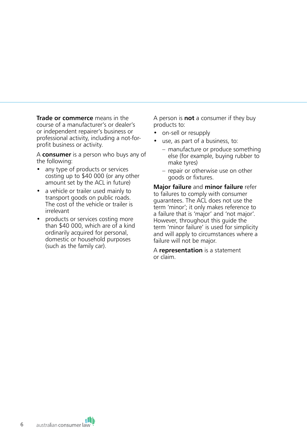**Trade or commerce** means in the course of a manufacturer's or dealer's or independent repairer's business or professional activity, including a not-forprofit business or activity.

A **consumer** is a person who buys any of the following:

- any type of products or services costing up to \$40 000 (or any other amount set by the ACL in future)
- a vehicle or trailer used mainly to transport goods on public roads. The cost of the vehicle or trailer is irrelevant
- products or services costing more than \$40 000, which are of a kind ordinarily acquired for personal, domestic or household purposes (such as the family car).

A person is **not** a consumer if they buy products to:

- on-sell or resupply
- use, as part of a business, to:
	- manufacture or produce something else (for example, buying rubber to make tyres)
	- repair or otherwise use on other goods or fixtures.

**Major failure** and **minor failure** refer to failures to comply with consumer guarantees. The ACL does not use the term 'minor'; it only makes reference to a failure that is 'major' and 'not major'. However, throughout this guide the term 'minor failure' is used for simplicity and will apply to circumstances where a failure will not be major.

A **representation** is a statement or claim.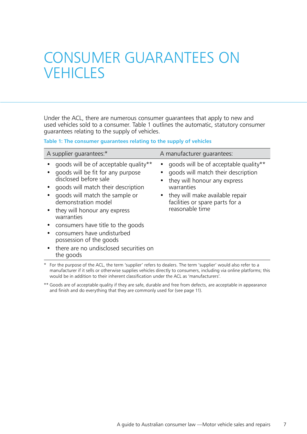# <span id="page-6-0"></span>CONSUMER GUARANTEES ON **VEHICLES**

Under the ACL, there are numerous consumer guarantees that apply to new and used vehicles sold to a consumer. Table 1 outlines the automatic, statutory consumer guarantees relating to the supply of vehicles.

**Table 1: The consumer guarantees relating to the supply of vehicles**

| A supplier quarantees:*                                                                                                                                                                                                                              | A manufacturer quarantees:                                                                                                                                                                                         |
|------------------------------------------------------------------------------------------------------------------------------------------------------------------------------------------------------------------------------------------------------|--------------------------------------------------------------------------------------------------------------------------------------------------------------------------------------------------------------------|
| goods will be of acceptable quality**<br>goods will be fit for any purpose<br>disclosed before sale<br>• goods will match their description<br>goods will match the sample or<br>demonstration model<br>• they will honour any express<br>warranties | goods will be of acceptable quality**<br>goods will match their description<br>they will honour any express<br>warranties<br>they will make available repair<br>facilities or spare parts for a<br>reasonable time |
| • consumers have title to the goods<br>consumers have undisturbed<br>possession of the goods<br>• there are no undisclosed securities on<br>the goods                                                                                                |                                                                                                                                                                                                                    |

For the purpose of the ACL, the term 'supplier' refers to dealers. The term 'supplier' would also refer to a manufacturer if it sells or otherwise supplies vehicles directly to consumers, including via online platforms; this would be in addition to their inherent classification under the ACL as 'manufacturers'.

\*\* Goods are of acceptable quality if they are safe, durable and free from defects, are acceptable in appearance and finish and do everything that they are commonly used for (see page 11).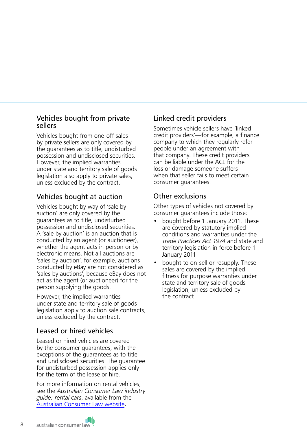# Vehicles bought from private sellers

Vehicles bought from one-off sales by private sellers are only covered by the guarantees as to title, undisturbed possession and undisclosed securities. However, the implied warranties under state and territory sale of goods legislation also apply to private sales, unless excluded by the contract.

# Vehicles bought at auction

Vehicles bought by way of 'sale by auction' are only covered by the guarantees as to title, undisturbed possession and undisclosed securities. A 'sale by auction' is an auction that is conducted by an agent (or auctioneer), whether the agent acts in person or by electronic means. Not all auctions are 'sales by auction', for example, auctions conducted by eBay are not considered as 'sales by auctions', because eBay does not act as the agent (or auctioneer) for the person supplying the goods.

However, the implied warranties under state and territory sale of goods legislation apply to auction sale contracts, unless excluded by the contract.

# Leased or hired vehicles

Leased or hired vehicles are covered by the consumer guarantees, with the exceptions of the guarantees as to title and undisclosed securities. The guarantee for undisturbed possession applies only for the term of the lease or hire.

For more information on rental vehicles, see the *Australian Consumer Law industry guide: rental cars*, available from the [Australian Consumer Law website](http://consumerlaw.gov.au/)**.**

# Linked credit providers

Sometimes vehicle sellers have 'linked credit providers'—for example, a finance company to which they regularly refer people under an agreement with that company. These credit providers can be liable under the ACL for the loss or damage someone suffers when that seller fails to meet certain consumer guarantees.

# Other exclusions

Other types of vehicles not covered by consumer guarantees include those:

- bought before 1 January 2011. These are covered by statutory implied conditions and warranties under the *Trade Practices Act 1974* and state and territory legislation in force before 1 January 2011
- bought to on-sell or resupply. These sales are covered by the implied fitness for purpose warranties under state and territory sale of goods legislation, unless excluded by the contract.

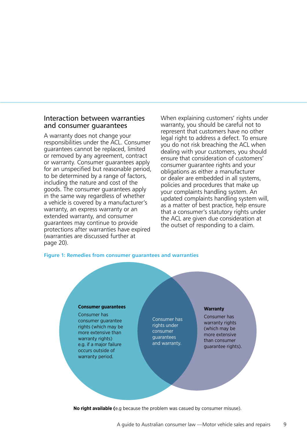#### Interaction between warranties and consumer guarantees

A warranty does not change your responsibilities under the ACL. Consumer guarantees cannot be replaced, limited or removed by any agreement, contract or warranty. Consumer guarantees apply for an unspecified but reasonable period, to be determined by a range of factors, including the nature and cost of the goods. The consumer guarantees apply in the same way regardless of whether a vehicle is covered by a manufacturer's warranty, an express warranty or an extended warranty, and consumer guarantees may continue to provide protections after warranties have expired (warranties are discussed further at page 20).

When explaining customers' rights under warranty, you should be careful not to represent that customers have no other legal right to address a defect. To ensure you do not risk breaching the ACL when dealing with your customers, you should ensure that consideration of customers' consumer guarantee rights and your obligations as either a manufacturer or dealer are embedded in all systems, policies and procedures that make up your complaints handling system. An updated complaints handling system will, as a matter of best practice, help ensure that a consumer's statutory rights under the ACL are given due consideration at the outset of responding to a claim.

#### **Figure 1: Remedies from consumer guarantees and warranties**

#### **Consumer guarantees**

Consumer has consumer guarantee rights (which may be more extensive than warranty rights) e.g. if a major failure occurs outside of warranty period.

Consumer has rights under consumer guarantees and warranty.

#### **Warranty**

Consumer has warranty rights (which may be more extensive than consumer guarantee rights).

**No right available (**e.g because the problem was casued by consumer misuse).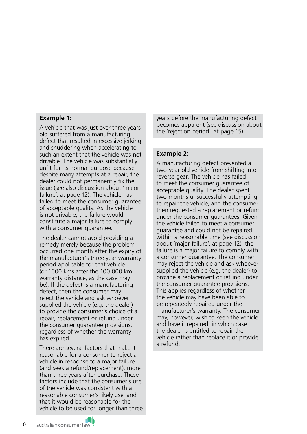#### **Example 1:**

A vehicle that was just over three years old suffered from a manufacturing defect that resulted in excessive jerking and shuddering when accelerating to such an extent that the vehicle was not drivable. The vehicle was substantially unfit for its normal purpose because despite many attempts at a repair, the dealer could not permanently fix the issue (see also discussion about 'major failure', at page 12). The vehicle has failed to meet the consumer guarantee of acceptable quality. As the vehicle is not drivable, the failure would constitute a major failure to comply with a consumer guarantee.

The dealer cannot avoid providing a remedy merely because the problem occurred one month after the expiry of the manufacturer's three year warranty period applicable for that vehicle (or 1000 kms after the 100 000 km warranty distance, as the case may be). If the defect is a manufacturing defect, then the consumer may reject the vehicle and ask whoever supplied the vehicle (e.g. the dealer) to provide the consumer's choice of a repair, replacement or refund under the consumer guarantee provisions, regardless of whether the warranty has expired.

There are several factors that make it reasonable for a consumer to reject a vehicle in response to a major failure (and seek a refund/replacement), more than three years after purchase. These factors include that the consumer's use of the vehicle was consistent with a reasonable consumer's likely use, and that it would be reasonable for the vehicle to be used for longer than three years before the manufacturing defect becomes apparent (see discussion about the 'rejection period', at page 15).

#### **Example 2:**

A manufacturing defect prevented a two-year-old vehicle from shifting into reverse gear. The vehicle has failed to meet the consumer guarantee of acceptable quality. The dealer spent two months unsuccessfully attempting to repair the vehicle, and the consumer then requested a replacement or refund under the consumer guarantees. Given the vehicle failed to meet a consumer guarantee and could not be repaired within a reasonable time (see discussion about 'major failure', at page 12), the failure is a major failure to comply with a consumer guarantee. The consumer may reject the vehicle and ask whoever supplied the vehicle (e.g. the dealer) to provide a replacement or refund under the consumer guarantee provisions. This applies regardless of whether the vehicle may have been able to be repeatedly repaired under the manufacturer's warranty. The consumer may, however, wish to keep the vehicle and have it repaired, in which case the dealer is entitled to repair the vehicle rather than replace it or provide a refund.

10

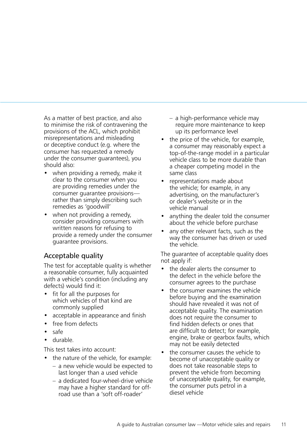As a matter of best practice, and also to minimise the risk of contravening the provisions of the ACL, which prohibit misrepresentations and misleading or deceptive conduct (e.g. where the consumer has requested a remedy under the consumer guarantees), you should also:

- when providing a remedy, make it clear to the consumer when you are providing remedies under the consumer guarantee provisions rather than simply describing such remedies as 'goodwill'
- when not providing a remedy, consider providing consumers with written reasons for refusing to provide a remedy under the consumer guarantee provisions.

# Acceptable quality

The test for acceptable quality is whether a reasonable consumer, fully acquainted with a vehicle's condition (including any defects) would find it:

- fit for all the purposes for which vehicles of that kind are commonly supplied
- acceptable in appearance and finish
- free from defects
- safe
- durable.

This test takes into account:

- the nature of the vehicle, for example:
	- a new vehicle would be expected to last longer than a used vehicle
	- a dedicated four-wheel-drive vehicle may have a higher standard for offroad use than a 'soft off-roader'
- a high-performance vehicle may require more maintenance to keep up its performance level
- the price of the vehicle, for example, a consumer may reasonably expect a top-of-the-range model in a particular vehicle class to be more durable than a cheaper competing model in the same class
- representations made about the vehicle; for example, in any advertising, on the manufacturer's or dealer's website or in the vehicle manual
- anything the dealer told the consumer about the vehicle before purchase
- any other relevant facts, such as the way the consumer has driven or used the vehicle.

The guarantee of acceptable quality does not apply if:

- the dealer alerts the consumer to the defect in the vehicle before the consumer agrees to the purchase
- the consumer examines the vehicle before buying and the examination should have revealed it was not of acceptable quality. The examination does not require the consumer to find hidden defects or ones that are difficult to detect; for example, engine, brake or gearbox faults, which may not be easily detected
- the consumer causes the vehicle to become of unacceptable quality or does not take reasonable steps to prevent the vehicle from becoming of unacceptable quality, for example, the consumer puts petrol in a diesel vehicle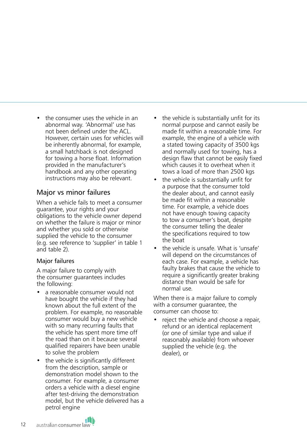the consumer uses the vehicle in an abnormal way. 'Abnormal' use has not been defined under the ACL. However, certain uses for vehicles will be inherently abnormal, for example, a small hatchback is not designed for towing a horse float. Information provided in the manufacturer's handbook and any other operating instructions may also be relevant.

# Major vs minor failures

When a vehicle fails to meet a consumer guarantee, your rights and your obligations to the vehicle owner depend on whether the failure is major or minor and whether you sold or otherwise supplied the vehicle to the consumer (e.g. see reference to 'supplier' in table 1 and table 2).

## Major failures

A major failure to comply with the consumer guarantees includes the following:

- a reasonable consumer would not have bought the vehicle if they had known about the full extent of the problem. For example, no reasonable consumer would buy a new vehicle with so many recurring faults that the vehicle has spent more time off the road than on it because several qualified repairers have been unable to solve the problem
- the vehicle is significantly different from the description, sample or demonstration model shown to the consumer. For example, a consumer orders a vehicle with a diesel engine after test-driving the demonstration model, but the vehicle delivered has a petrol engine
- the vehicle is substantially unfit for its normal purpose and cannot easily be made fit within a reasonable time. For example, the engine of a vehicle with a stated towing capacity of 3500 kgs and normally used for towing, has a design flaw that cannot be easily fixed which causes it to overheat when it tows a load of more than 2500 kgs
- the vehicle is substantially unfit for a purpose that the consumer told the dealer about, and cannot easily be made fit within a reasonable time. For example, a vehicle does not have enough towing capacity to tow a consumer's boat, despite the consumer telling the dealer the specifications required to tow the boat
- the vehicle is unsafe. What is 'unsafe' will depend on the circumstances of each case. For example, a vehicle has faulty brakes that cause the vehicle to require a significantly greater braking distance than would be safe for normal use.

When there is a major failure to comply with a consumer guarantee, the consumer can choose to:

• reject the vehicle and choose a repair, refund or an identical replacement (or one of similar type and value if reasonably available) from whoever supplied the vehicle (e.g. the dealer), or



12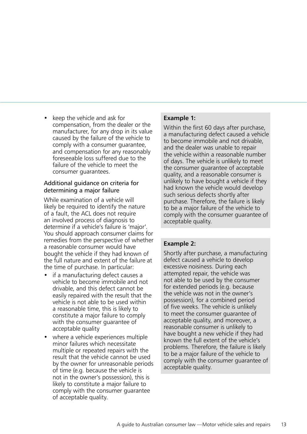• keep the vehicle and ask for compensation, from the dealer or the manufacturer, for any drop in its value caused by the failure of the vehicle to comply with a consumer guarantee, and compensation for any reasonably foreseeable loss suffered due to the failure of the vehicle to meet the consumer guarantees.

#### Additional guidance on criteria for determining a major failure

While examination of a vehicle will likely be required to identify the nature of a fault, the ACL does not require an involved process of diagnosis to determine if a vehicle's failure is 'major'. You should approach consumer claims for remedies from the perspective of whether a reasonable consumer would have bought the vehicle if they had known of the full nature and extent of the failure at the time of purchase. In particular:

- if a manufacturing defect causes a vehicle to become immobile and not drivable, and this defect cannot be easily repaired with the result that the vehicle is not able to be used within a reasonable time, this is likely to constitute a major failure to comply with the consumer guarantee of acceptable quality
- where a vehicle experiences multiple minor failures which necessitate multiple or repeated repairs with the result that the vehicle cannot be used by the owner for unreasonable periods of time (e.g. because the vehicle is not in the owner's possession), this is likely to constitute a major failure to comply with the consumer guarantee of acceptable quality.

## **Example 1:**

Within the first 60 days after purchase, a manufacturing defect caused a vehicle to become immobile and not drivable, and the dealer was unable to repair the vehicle within a reasonable number of days. The vehicle is unlikely to meet the consumer guarantee of acceptable quality, and a reasonable consumer is unlikely to have bought a vehicle if they had known the vehicle would develop such serious defects shortly after purchase. Therefore, the failure is likely to be a major failure of the vehicle to comply with the consumer guarantee of acceptable quality.

## **Example 2:**

Shortly after purchase, a manufacturing defect caused a vehicle to develop excessive noisiness. During each attempted repair, the vehicle was not able to be used by the consumer for extended periods (e.g. because the vehicle was not in the owner's possession), for a combined period of five weeks. The vehicle is unlikely to meet the consumer guarantee of acceptable quality, and moreover, a reasonable consumer is unlikely to have bought a new vehicle if they had known the full extent of the vehicle's problems. Therefore, the failure is likely to be a major failure of the vehicle to comply with the consumer guarantee of acceptable quality.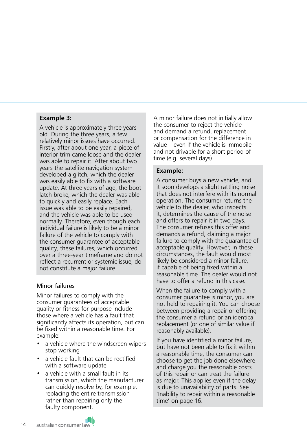#### **Example 3:**

A vehicle is approximately three years old. During the three years, a few relatively minor issues have occurred. Firstly, after about one year, a piece of interior trim came loose and the dealer was able to repair it. After about two years the satellite navigation system developed a glitch, which the dealer was easily able to fix with a software update. At three years of age, the boot latch broke, which the dealer was able to quickly and easily replace. Each issue was able to be easily repaired, and the vehicle was able to be used normally. Therefore, even though each individual failure is likely to be a minor failure of the vehicle to comply with the consumer guarantee of acceptable quality, these failures, which occurred over a three-year timeframe and do not reflect a recurrent or systemic issue, do not constitute a major failure.

#### Minor failures

Minor failures to comply with the consumer guarantees of acceptable quality or fitness for purpose include those where a vehicle has a fault that significantly affects its operation, but can be fixed within a reasonable time. For example:

- a vehicle where the windscreen wipers stop working
- a vehicle fault that can be rectified with a software update
- a vehicle with a small fault in its transmission, which the manufacturer can quickly resolve by, for example, replacing the entire transmission rather than repairing only the faulty component.

A minor failure does not initially allow the consumer to reject the vehicle and demand a refund, replacement or compensation for the difference in value—even if the vehicle is immobile and not drivable for a short period of time (e.g. several days).

#### **Example:**

A consumer buys a new vehicle, and it soon develops a slight rattling noise that does not interfere with its normal operation. The consumer returns the vehicle to the dealer, who inspects it, determines the cause of the noise and offers to repair it in two days. The consumer refuses this offer and demands a refund, claiming a major failure to comply with the guarantee of acceptable quality. However, in these circumstances, the fault would most likely be considered a minor failure, if capable of being fixed within a reasonable time. The dealer would not have to offer a refund in this case.

When the failure to comply with a consumer guarantee is minor, you are not held to repairing it. You can choose between providing a repair or offering the consumer a refund or an identical replacement (or one of similar value if reasonably available).

If you have identified a minor failure, but have not been able to fix it within a reasonable time, the consumer can choose to get the job done elsewhere and charge you the reasonable costs of this repair or can treat the failure as major. This applies even if the delay is due to unavailability of parts. See 'Inability to repair within a reasonable time' on page 16.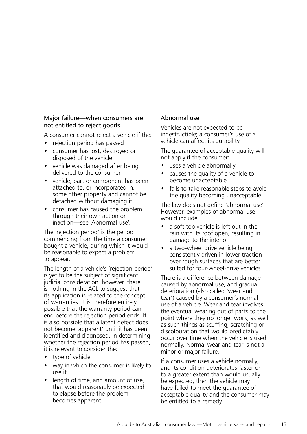### Major failure—when consumers are not entitled to reject goods

A consumer cannot reject a vehicle if the:

- rejection period has passed
- consumer has lost, destroyed or disposed of the vehicle
- vehicle was damaged after being delivered to the consumer
- vehicle, part or component has been attached to, or incorporated in, some other property and cannot be detached without damaging it
- consumer has caused the problem through their own action or inaction—see 'Abnormal use'.

The 'rejection period' is the period commencing from the time a consumer bought a vehicle, during which it would be reasonable to expect a problem to appear.

The length of a vehicle's 'rejection period' is yet to be the subject of significant judicial consideration, however, there is nothing in the ACL to suggest that its application is related to the concept of warranties. It is therefore entirely possible that the warranty period can end before the rejection period ends. It is also possible that a latent defect does not become 'apparent' until it has been identified and diagnosed. In determining whether the rejection period has passed, it is relevant to consider the:

- type of vehicle
- way in which the consumer is likely to use it
- length of time, and amount of use, that would reasonably be expected to elapse before the problem becomes apparent.

#### Abnormal use

Vehicles are not expected to be indestructible; a consumer's use of a vehicle can affect its durability.

The guarantee of acceptable quality will not apply if the consumer:

- uses a vehicle abnormally
- causes the quality of a vehicle to become unacceptable
- fails to take reasonable steps to avoid the quality becoming unacceptable.

The law does not define 'abnormal use'. However, examples of abnormal use would include:

- a soft-top vehicle is left out in the rain with its roof open, resulting in damage to the interior
- a two-wheel drive vehicle being consistently driven in lower traction over rough surfaces that are better suited for four-wheel-drive vehicles.

There is a difference between damage caused by abnormal use, and gradual deterioration (also called 'wear and tear') caused by a consumer's normal use of a vehicle. Wear and tear involves the eventual wearing out of parts to the point where they no longer work, as well as such things as scuffing, scratching or discolouration that would predictably occur over time when the vehicle is used normally. Normal wear and tear is not a minor or major failure.

If a consumer uses a vehicle normally, and its condition deteriorates faster or to a greater extent than would usually be expected, then the vehicle may have failed to meet the guarantee of acceptable quality and the consumer may be entitled to a remedy.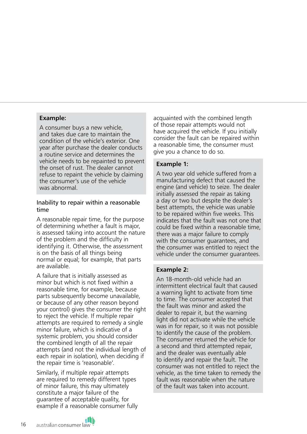#### **Example:**

A consumer buys a new vehicle, and takes due care to maintain the condition of the vehicle's exterior. One year after purchase the dealer conducts a routine service and determines the vehicle needs to be repainted to prevent the onset of rust. The dealer cannot refuse to repaint the vehicle by claiming the consumer's use of the vehicle was abnormal.

#### Inability to repair within a reasonable time

A reasonable repair time, for the purpose of determining whether a fault is major, is assessed taking into account the nature of the problem and the difficulty in identifying it. Otherwise, the assessment is on the basis of all things being normal or equal; for example, that parts are available.

A failure that is initially assessed as minor but which is not fixed within a reasonable time, for example, because parts subsequently become unavailable, or because of any other reason beyond your control) gives the consumer the right to reject the vehicle. If multiple repair attempts are required to remedy a single minor failure, which is indicative of a systemic problem, you should consider the combined length of all the repair attempts (and not the individual length of each repair in isolation), when deciding if the repair time is 'reasonable'.

Similarly, if multiple repair attempts are required to remedy different types of minor failure, this may ultimately constitute a major failure of the guarantee of acceptable quality, for example if a reasonable consumer fully

acquainted with the combined length of those repair attempts would not have acquired the vehicle. If you initially consider the fault can be repaired within a reasonable time, the consumer must give you a chance to do so.

#### **Example 1:**

A two year old vehicle suffered from a manufacturing defect that caused the engine (and vehicle) to seize. The dealer initially assessed the repair as taking a day or two but despite the dealer's best attempts, the vehicle was unable to be repaired within five weeks. This indicates that the fault was not one that could be fixed within a reasonable time, there was a major failure to comply with the consumer guarantees, and the consumer was entitled to reject the vehicle under the consumer guarantees.

#### **Example 2:**

An 18-month-old vehicle had an intermittent electrical fault that caused a warning light to activate from time to time. The consumer accepted that the fault was minor and asked the dealer to repair it, but the warning light did not activate while the vehicle was in for repair, so it was not possible to identify the cause of the problem. The consumer returned the vehicle for a second and third attempted repair, and the dealer was eventually able to identify and repair the fault. The consumer was not entitled to reject the vehicle, as the time taken to remedy the fault was reasonable when the nature of the fault was taken into account.

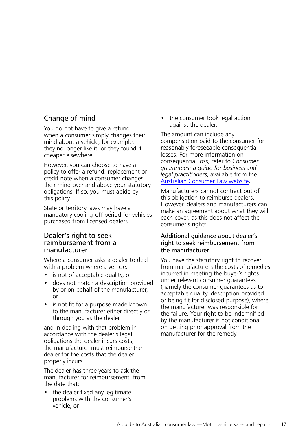# Change of mind

You do not have to give a refund when a consumer simply changes their mind about a vehicle; for example, they no longer like it, or they found it cheaper elsewhere.

However, you can choose to have a policy to offer a refund, replacement or credit note when a consumer changes their mind over and above your statutory obligations. If so, you must abide by this policy.

State or territory laws may have a mandatory cooling-off period for vehicles purchased from licensed dealers.

### Dealer's right to seek reimbursement from a manufacturer

Where a consumer asks a dealer to deal with a problem where a vehicle:

- is not of acceptable quality, or
- does not match a description provided by or on behalf of the manufacturer, or
- is not fit for a purpose made known to the manufacturer either directly or through you as the dealer

and in dealing with that problem in accordance with the dealer's legal obligations the dealer incurs costs, the manufacturer must reimburse the dealer for the costs that the dealer properly incurs.

The dealer has three years to ask the manufacturer for reimbursement, from the date that:

the dealer fixed any legitimate problems with the consumer's vehicle, or

the consumer took legal action against the dealer.

The amount can include any compensation paid to the consumer for reasonably foreseeable consequential losses. For more information on consequential loss, refer to *Consumer guarantees: a guide for business and legal practitioners*, available from the [Australian Consumer Law website](http://consumerlaw.gov.au/)**.**

Manufacturers cannot contract out of this obligation to reimburse dealers. However, dealers and manufacturers can make an agreement about what they will each cover, as this does not affect the consumer's rights.

#### Additional guidance about dealer's right to seek reimbursement from the manufacturer

You have the statutory right to recover from manufacturers the costs of remedies incurred in meeting the buyer's rights under relevant consumer guarantees (namely the consumer guarantees as to acceptable quality, description provided or being fit for disclosed purpose), where the manufacturer was responsible for the failure. Your right to be indemnified by the manufacturer is not conditional on getting prior approval from the manufacturer for the remedy.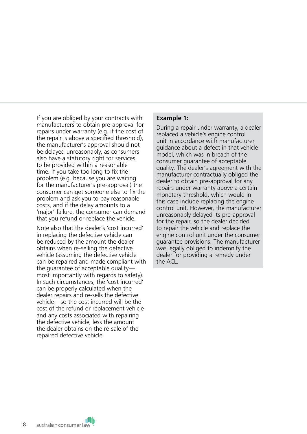If you are obliged by your contracts with manufacturers to obtain pre-approval for repairs under warranty (e.g. if the cost of the repair is above a specified threshold), the manufacturer's approval should not be delayed unreasonably, as consumers also have a statutory right for services to be provided within a reasonable time. If you take too long to fix the problem (e.g. because you are waiting for the manufacturer's pre-approval) the consumer can get someone else to fix the problem and ask you to pay reasonable costs, and if the delay amounts to a 'major' failure, the consumer can demand that you refund or replace the vehicle.

Note also that the dealer's 'cost incurred' in replacing the defective vehicle can be reduced by the amount the dealer obtains when re-selling the defective vehicle (assuming the defective vehicle can be repaired and made compliant with the guarantee of acceptable quality most importantly with regards to safety). In such circumstances, the 'cost incurred' can be properly calculated when the dealer repairs and re-sells the defective vehicle—so the cost incurred will be the cost of the refund or replacement vehicle and any costs associated with repairing the defective vehicle, less the amount the dealer obtains on the re-sale of the repaired defective vehicle.

#### **Example 1:**

During a repair under warranty, a dealer replaced a vehicle's engine control unit in accordance with manufacturer guidance about a defect in that vehicle model, which was in breach of the consumer guarantee of acceptable quality. The dealer's agreement with the manufacturer contractually obliged the dealer to obtain pre-approval for any repairs under warranty above a certain monetary threshold, which would in this case include replacing the engine control unit. However, the manufacturer unreasonably delayed its pre-approval for the repair, so the dealer decided to repair the vehicle and replace the engine control unit under the consumer guarantee provisions. The manufacturer was legally obliged to indemnify the dealer for providing a remedy under the ACL.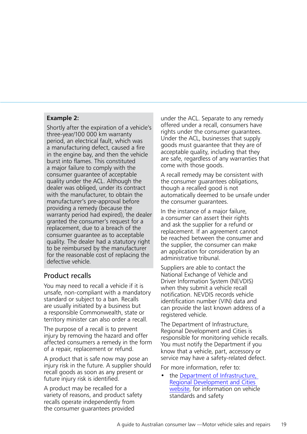#### **Example 2:**

Shortly after the expiration of a vehicle's three-year/100 000 km warranty period, an electrical fault, which was a manufacturing defect, caused a fire in the engine bay, and then the vehicle burst into flames. This constituted a major failure to comply with the consumer guarantee of acceptable quality under the ACL. Although the dealer was obliged, under its contract with the manufacturer, to obtain the manufacturer's pre-approval before providing a remedy (because the warranty period had expired), the dealer granted the consumer's request for a replacement, due to a breach of the consumer guarantee as to acceptable quality. The dealer had a statutory right to be reimbursed by the manufacturer for the reasonable cost of replacing the defective vehicle.

# Product recalls

You may need to recall a vehicle if it is unsafe, non-compliant with a mandatory standard or subject to a ban. Recalls are usually initiated by a business but a responsible Commonwealth, state or territory minister can also order a recall.

The purpose of a recall is to prevent injury by removing the hazard and offer affected consumers a remedy in the form of a repair, replacement or refund.

A product that is safe now may pose an injury risk in the future. A supplier should recall goods as soon as any present or future injury risk is identified.

A product may be recalled for a variety of reasons, and product safety recalls operate independently from the consumer guarantees provided

under the ACL. Separate to any remedy offered under a recall, consumers have rights under the consumer guarantees. Under the ACL, businesses that supply goods must guarantee that they are of acceptable quality, including that they are safe, regardless of any warranties that come with those goods.

A recall remedy may be consistent with the consumer guarantees obligations, though a recalled good is not automatically deemed to be unsafe under the consumer guarantees.

In the instance of a major failure, a consumer can assert their rights and ask the supplier for a refund or replacement. If an agreement cannot be reached between the consumer and the supplier, the consumer can make an application for consideration by an administrative tribunal.

Suppliers are able to contact the National Exchange of Vehicle and Driver Information System (NEVDIS) when they submit a vehicle recall notification. NEVDIS records vehicle identification number (VIN) data and can provide the last known address of a registered vehicle.

The Department of Infrastructure, Regional Development and Cities is responsible for monitoring vehicle recalls. You must notify the Department if you know that a vehicle, part, accessory or service may have a safety-related defect.

For more information, refer to:

the Department of Infrastructure. [Regional Development and Cities](https://infrastructure.gov.au/vehicles/)  [website](https://infrastructure.gov.au/vehicles/), for information on vehicle standards and safety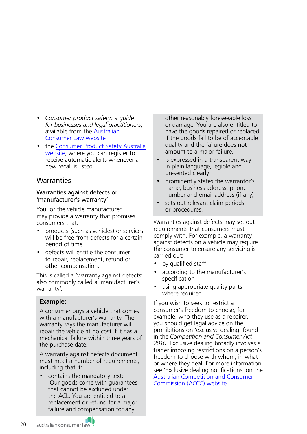- *Consumer product safety: a guide for businesses and legal practitioners*, available from the [Australian](http://consumerlaw.gov.au/)  [Consumer Law website](http://consumerlaw.gov.au/)
- the [Consumer Product Safety Australia](https://www.productsafety.gov.au/)  [website](https://www.productsafety.gov.au/), where you can register to receive automatic alerts whenever a new recall is listed.

## **Warranties**

#### Warranties against defects or 'manufacturer's warranty'

You, or the vehicle manufacturer, may provide a warranty that promises consumers that:

- products (such as vehicles) or services will be free from defects for a certain period of time
- defects will entitle the consumer to repair, replacement, refund or other compensation.

This is called a 'warranty against defects', also commonly called a 'manufacturer's warranty'.

## **Example:**

A consumer buys a vehicle that comes with a manufacturer's warranty. The warranty says the manufacturer will repair the vehicle at no cost if it has a mechanical failure within three years of the purchase date.

A warranty against defects document must meet a number of requirements, including that it:

• contains the mandatory text: 'Our goods come with guarantees that cannot be excluded under the ACL. You are entitled to a replacement or refund for a major failure and compensation for any

other reasonably foreseeable loss or damage. You are also entitled to have the goods repaired or replaced if the goods fail to be of acceptable quality and the failure does not amount to a major failure.'

- is expressed in a transparent way in plain language, legible and presented clearly
- prominently states the warrantor's name, business address, phone number and email address (if any)
- sets out relevant claim periods or procedures.

Warranties against defects may set out requirements that consumers must comply with. For example, a warranty against defects on a vehicle may require the consumer to ensure any servicing is carried out:

- by qualified staff
- according to the manufacturer's specification
- using appropriate quality parts where required.

If you wish to seek to restrict a consumer's freedom to choose, for example, who they use as a repairer, you should get legal advice on the prohibitions on 'exclusive dealing' found in the *Competition and Consumer Act 2010*. Exclusive dealing broadly involves a trader imposing restrictions on a person's freedom to choose with whom, in what or where they deal. For more information, see 'Exclusive dealing notifications' on the [Australian Competition and Consumer](https://www.accc.gov.au/)  [Commission \(ACCC\) website](https://www.accc.gov.au/)**.**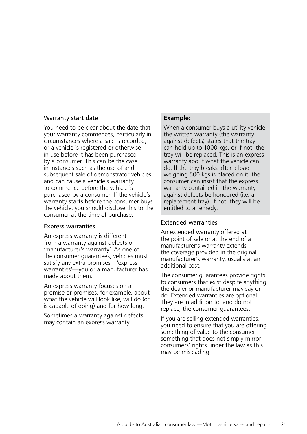#### Warranty start date

You need to be clear about the date that your warranty commences, particularly in circumstances where a sale is recorded, or a vehicle is registered or otherwise in use before it has been purchased by a consumer. This can be the case in instances such as the use of and subsequent sale of demonstrator vehicles and can cause a vehicle's warranty to commence before the vehicle is purchased by a consumer. If the vehicle's warranty starts before the consumer buys the vehicle, you should disclose this to the consumer at the time of purchase.

#### Express warranties

An express warranty is different from a warranty against defects or 'manufacturer's warranty'. As one of the consumer guarantees, vehicles must satisfy any extra promises—'express warranties'—you or a manufacturer has made about them.

An express warranty focuses on a promise or promises, for example, about what the vehicle will look like, will do (or is capable of doing) and for how long.

Sometimes a warranty against defects may contain an express warranty.

#### **Example:**

When a consumer buys a utility vehicle, the written warranty (the warranty against defects) states that the tray can hold up to 1000 kgs, or if not, the tray will be replaced. This is an express warranty about what the vehicle can do. If the tray breaks after a load weighing 500 kgs is placed on it, the consumer can insist that the express warranty contained in the warranty against defects be honoured (i.e. a replacement tray). If not, they will be entitled to a remedy.

#### Extended warranties

An extended warranty offered at the point of sale or at the end of a manufacturer's warranty extends the coverage provided in the original manufacturer's warranty, usually at an additional cost.

The consumer guarantees provide rights to consumers that exist despite anything the dealer or manufacturer may say or do. Extended warranties are optional. They are in addition to, and do not replace, the consumer guarantees.

If you are selling extended warranties, you need to ensure that you are offering something of value to the consumer something that does not simply mirror consumers' rights under the law as this may be misleading.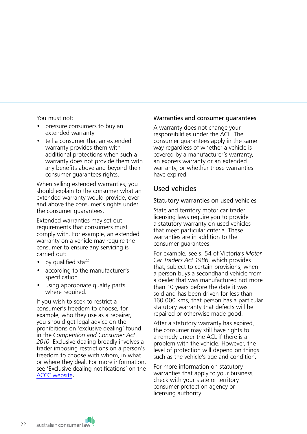You must not:

- pressure consumers to buy an extended warranty
- tell a consumer that an extended warranty provides them with additional protections when such a warranty does not provide them with any benefits above and beyond their consumer guarantees rights.

When selling extended warranties, you should explain to the consumer what an extended warranty would provide, over and above the consumer's rights under the consumer guarantees.

Extended warranties may set out requirements that consumers must comply with. For example, an extended warranty on a vehicle may require the consumer to ensure any servicing is carried out:

- by qualified staff
- according to the manufacturer's specification
- using appropriate quality parts where required.

If you wish to seek to restrict a consumer's freedom to choose, for example, who they use as a repairer, you should get legal advice on the prohibitions on 'exclusive dealing' found in the *Competition and Consumer Act 2010*. Exclusive dealing broadly involves a trader imposing restrictions on a person's freedom to choose with whom, in what or where they deal. For more information, see 'Exclusive dealing notifications' on the [ACCC website](https://www.accc.gov.au/)**.**

#### Warranties and consumer guarantees

A warranty does not change your responsibilities under the ACL. The consumer guarantees apply in the same way regardless of whether a vehicle is covered by a manufacturer's warranty, an express warranty or an extended warranty, or whether those warranties have expired.

## Used vehicles

#### Statutory warranties on used vehicles

State and territory motor car trader licensing laws require you to provide a statutory warranty on used vehicles that meet particular criteria. These warranties are in addition to the consumer guarantees.

For example, see s. 54 of Victoria's *Motor Car Traders Act 1986*, which provides that, subject to certain provisions, when a person buys a secondhand vehicle from a dealer that was manufactured not more than 10 years before the date it was sold and has been driven for less than 160 000 kms, that person has a particular statutory warranty that defects will be repaired or otherwise made good.

After a statutory warranty has expired, the consumer may still have rights to a remedy under the ACL if there is a problem with the vehicle. However, the level of protection will depend on things such as the vehicle's age and condition.

For more information on statutory warranties that apply to your business, check with your state or territory consumer protection agency or licensing authority.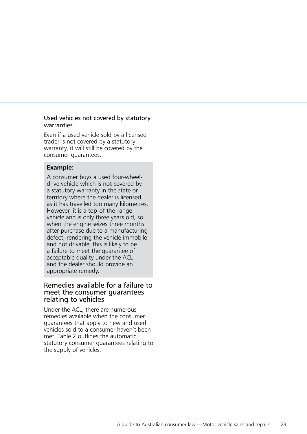#### Used vehicles not covered by statutory warranties

Even if a used vehicle sold by a licensed trader is not covered by a statutory warranty, it will still be covered by the consumer guarantees.

#### **Example:**

A consumer buys a used four-wheeldrive vehicle which is not covered by a statutory warranty in the state or territory where the dealer is licensed as it has travelled too many kilometres. However, it is a top-of-the-range vehicle and is only three years old, so when the engine seizes three months after purchase due to a manufacturing defect, rendering the vehicle immobile and not drivable, this is likely to be a failure to meet the guarantee of acceptable quality under the ACL and the dealer should provide an appropriate remedy.

## Remedies available for a failure to meet the consumer guarantees relating to vehicles

Under the ACL, there are numerous remedies available when the consumer guarantees that apply to new and used vehicles sold to a consumer haven't been met. Table 2 outlines the automatic, statutory consumer guarantees relating to the supply of vehicles.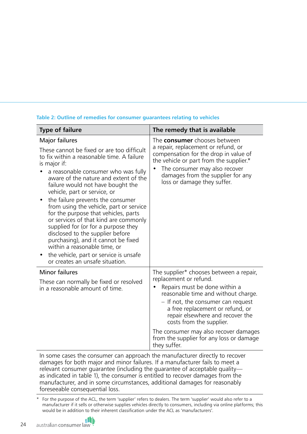## **Table 2: Outline of remedies for consumer guarantees relating to vehicles**

| <b>Type of failure</b>                                                                                                                                                                                                                                                                                                                                                                                                                                                                                                                                                                                                                                                               | The remedy that is available                                                                                                                                                                                                                                                                                                                                                             |  |
|--------------------------------------------------------------------------------------------------------------------------------------------------------------------------------------------------------------------------------------------------------------------------------------------------------------------------------------------------------------------------------------------------------------------------------------------------------------------------------------------------------------------------------------------------------------------------------------------------------------------------------------------------------------------------------------|------------------------------------------------------------------------------------------------------------------------------------------------------------------------------------------------------------------------------------------------------------------------------------------------------------------------------------------------------------------------------------------|--|
| Major failures<br>These cannot be fixed or are too difficult<br>to fix within a reasonable time. A failure<br>is major if:<br>a reasonable consumer who was fully<br>aware of the nature and extent of the<br>failure would not have bought the<br>vehicle, part or service, or<br>the failure prevents the consumer<br>from using the vehicle, part or service<br>for the purpose that vehicles, parts<br>or services of that kind are commonly<br>supplied for (or for a purpose they<br>disclosed to the supplier before<br>purchasing), and it cannot be fixed<br>within a reasonable time, or<br>the vehicle, part or service is unsafe<br>٠<br>or creates an unsafe situation. | The <b>consumer</b> chooses between<br>a repair, replacement or refund, or<br>compensation for the drop in value of<br>the vehicle or part from the supplier.*<br>The consumer may also recover<br>٠<br>damages from the supplier for any<br>loss or damage they suffer.                                                                                                                 |  |
| <b>Minor failures</b><br>These can normally be fixed or resolved<br>in a reasonable amount of time.                                                                                                                                                                                                                                                                                                                                                                                                                                                                                                                                                                                  | The supplier* chooses between a repair,<br>replacement or refund.<br>Repairs must be done within a<br>reasonable time and without charge.<br>- If not, the consumer can request<br>a free replacement or refund, or<br>repair elsewhere and recover the<br>costs from the supplier.<br>The consumer may also recover damages<br>from the supplier for any loss or damage<br>they suffer. |  |

In some cases the consumer can approach the manufacturer directly to recover damages for both major and minor failures. If a manufacturer fails to meet a relevant consumer guarantee (including the guarantee of acceptable quality as indicated in table 1), the consumer is entitled to recover damages from the manufacturer, and in some circumstances, additional damages for reasonably foreseeable consequential loss.

For the purpose of the ACL, the term 'supplier' refers to dealers. The term 'supplier' would also refer to a manufacturer if it sells or otherwise supplies vehicles directly to consumers, including via online platforms; this would be in addition to their inherent classification under the ACL as 'manufacturers'.

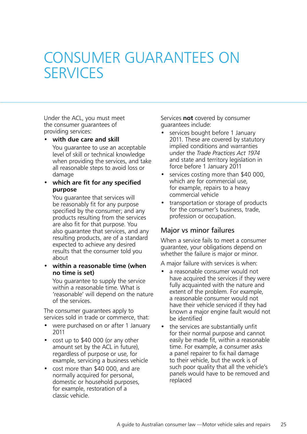# <span id="page-24-0"></span>CONSUMER GUARANTEES ON SERVICES

Under the ACL, you must meet the consumer guarantees of providing services:

• **with due care and skill**

You guarantee to use an acceptable level of skill or technical knowledge when providing the services, and take all reasonable steps to avoid loss or damage

### • **which are fit for any specified purpose**

You guarantee that services will be reasonably fit for any purpose specified by the consumer; and any products resulting from the services are also fit for that purpose. You also guarantee that services, and any resulting products, are of a standard expected to achieve any desired results that the consumer told you about

#### • **within a reasonable time (when no time is set)**

You guarantee to supply the service within a reasonable time. What is 'reasonable' will depend on the nature of the services.

The consumer guarantees apply to services sold in trade or commerce, that:

- were purchased on or after 1 January 2011
- cost up to  $$40,000$  (or any other amount set by the ACL in future), regardless of purpose or use, for example, servicing a business vehicle
- cost more than \$40 000, and are normally acquired for personal, domestic or household purposes, for example, restoration of a classic vehicle.

Services **not** covered by consumer guarantees include:

- services bought before 1 January 2011. These are covered by statutory implied conditions and warranties under the *Trade Practices Act 1974* and state and territory legislation in force before 1 January 2011
- services costing more than \$40 000, which are for commercial use, for example, repairs to a heavy commercial vehicle
- transportation or storage of products for the consumer's business, trade, profession or occupation.

# Major vs minor failures

When a service fails to meet a consumer guarantee, your obligations depend on whether the failure is major or minor.

A major failure with services is when:

- a reasonable consumer would not have acquired the services if they were fully acquainted with the nature and extent of the problem. For example, a reasonable consumer would not have their vehicle serviced if they had known a major engine fault would not be identified
- the services are substantially unfit for their normal purpose and cannot easily be made fit, within a reasonable time. For example, a consumer asks a panel repairer to fix hail damage to their vehicle, but the work is of such poor quality that all the vehicle's panels would have to be removed and replaced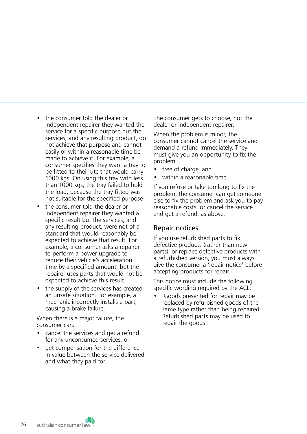- the consumer told the dealer or independent repairer they wanted the service for a specific purpose but the services, and any resulting product, do not achieve that purpose and cannot easily or within a reasonable time be made to achieve it. For example, a consumer specifies they want a tray to be fitted to their ute that would carry 1000 kgs. On using this tray with less than 1000 kgs, the tray failed to hold the load, because the tray fitted was not suitable for the specified purpose
- the consumer told the dealer or independent repairer they wanted a specific result but the services, and any resulting product, were not of a standard that would reasonably be expected to achieve that result. For example, a consumer asks a repairer to perform a power upgrade to reduce their vehicle's acceleration time by a specified amount; but the repairer uses parts that would not be expected to achieve this result
- the supply of the services has created an unsafe situation. For example, a mechanic incorrectly installs a part, causing a brake failure.

When there is a major failure, the consumer can:

- cancel the services and get a refund for any unconsumed services, or
- get compensation for the difference in value between the service delivered and what they paid for.

The consumer gets to choose, not the dealer or independent repairer.

When the problem is minor, the consumer cannot cancel the service and demand a refund immediately. They must give you an opportunity to fix the problem:

- free of charge, and
- within a reasonable time.

If you refuse or take too long to fix the problem, the consumer can get someone else to fix the problem and ask you to pay reasonable costs, or cancel the service and get a refund, as above.

#### Repair notices

If you use refurbished parts to fix defective products (rather than new parts), or replace defective products with a refurbished version, you must always give the consumer a 'repair notice' before accepting products for repair.

This notice must include the following specific wording required by the ACL:

• 'Goods presented for repair may be replaced by refurbished goods of the same type rather than being repaired. Refurbished parts may be used to repair the goods'.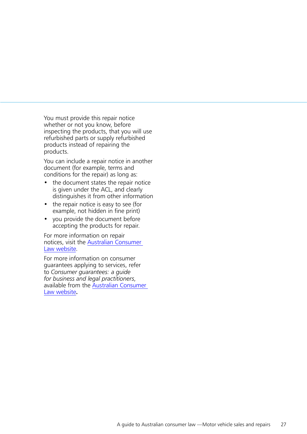You must provide this repair notice whether or not you know, before inspecting the products, that you will use refurbished parts or supply refurbished products instead of repairing the products.

You can include a repair notice in another document (for example, terms and conditions for the repair) as long as:

- the document states the repair notice is given under the ACL, and clearly distinguishes it from other information
- the repair notice is easy to see (for example, not hidden in fine print)
- you provide the document before accepting the products for repair.

For more information on repair notices, visit the [Australian Consumer](http://www.consumerlaw.gov.au)  [Law website](http://www.consumerlaw.gov.au).

For more information on consumer guarantees applying to services, refer to *Consumer guarantees: a guide for business and legal practitioners*, available from the [Australian Consumer](http://www.consumerlaw.gov.au)  [Law website](http://www.consumerlaw.gov.au) **.**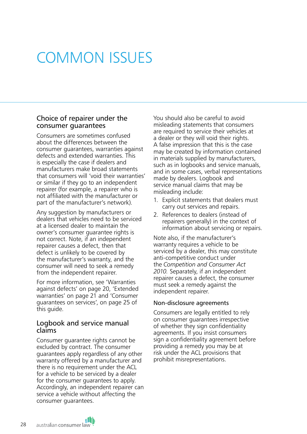# <span id="page-27-0"></span>COMMON ISSUES

## Choice of repairer under the consumer guarantees

Consumers are sometimes confused about the differences between the consumer guarantees, warranties against defects and extended warranties. This is especially the case if dealers and manufacturers make broad statements that consumers will 'void their warranties' or similar if they go to an independent repairer (for example, a repairer who is not affiliated with the manufacturer or part of the manufacturer's network).

Any suggestion by manufacturers or dealers that vehicles need to be serviced at a licensed dealer to maintain the owner's consumer guarantee rights is not correct. Note, if an independent repairer causes a defect, then that defect is unlikely to be covered by the manufacturer's warranty, and the consumer will need to seek a remedy from the independent repairer.

For more information, see 'Warranties against defects' on page 20, 'Extended warranties' on page 21 and 'Consumer guarantees on services', on page 25 of this guide.

### Logbook and service manual claims

Consumer guarantee rights cannot be excluded by contract. The consumer guarantees apply regardless of any other warranty offered by a manufacturer and there is no requirement under the ACL for a vehicle to be serviced by a dealer for the consumer guarantees to apply. Accordingly, an independent repairer can service a vehicle without affecting the consumer guarantees.

You should also be careful to avoid misleading statements that consumers are required to service their vehicles at a dealer or they will void their rights. A false impression that this is the case may be created by information contained in materials supplied by manufacturers, such as in logbooks and service manuals, and in some cases, verbal representations made by dealers. Logbook and service manual claims that may be misleading include:

- 1. Explicit statements that dealers must carry out services and repairs.
- 2. References to dealers (instead of repairers generally) in the context of information about servicing or repairs.

Note also, if the manufacturer's warranty requires a vehicle to be serviced by a dealer, this may constitute anti-competitive conduct under the *Competition and Consumer Act 2010.* Separately, if an independent repairer causes a defect, the consumer must seek a remedy against the independent repairer.

#### Non-disclosure agreements

Consumers are legally entitled to rely on consumer guarantees irrespective of whether they sign confidentiality agreements. If you insist consumers sign a confidentiality agreement before providing a remedy you may be at risk under the ACL provisions that prohibit misrepresentations.

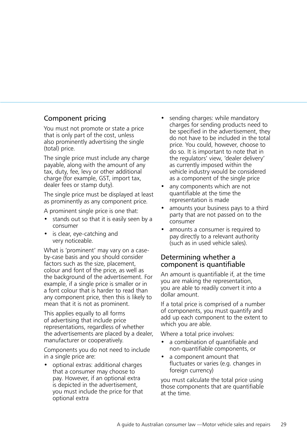# Component pricing

You must not promote or state a price that is only part of the cost, unless also prominently advertising the single (total) price.

The single price must include any charge payable, along with the amount of any tax, duty, fee, levy or other additional charge (for example, GST, import tax, dealer fees or stamp duty).

The single price must be displayed at least as prominently as any component price.

A prominent single price is one that:

- stands out so that it is easily seen by a consumer
- is clear, eye-catching and very noticeable.

What is 'prominent' may vary on a caseby-case basis and you should consider factors such as the size, placement, colour and font of the price, as well as the background of the advertisement. For example, if a single price is smaller or in a font colour that is harder to read than any component price, then this is likely to mean that it is not as prominent.

This applies equally to all forms of advertising that include price representations, regardless of whether the advertisements are placed by a dealer, manufacturer or cooperatively.

Components you do not need to include in a single price are:

• optional extras: additional charges that a consumer may choose to pay. However, if an optional extra is depicted in the advertisement, you must include the price for that optional extra

- sending charges: while mandatory charges for sending products need to be specified in the advertisement, they do not have to be included in the total price. You could, however, choose to do so. It is important to note that in the regulators' view, 'dealer delivery' as currently imposed within the vehicle industry would be considered as a component of the single price
- any components which are not quantifiable at the time the representation is made
- amounts your business pays to a third party that are not passed on to the consumer
- amounts a consumer is required to pay directly to a relevant authority (such as in used vehicle sales).

# Determining whether a component is quantifiable

An amount is quantifiable if, at the time you are making the representation, you are able to readily convert it into a dollar amount.

If a total price is comprised of a number of components, you must quantify and add up each component to the extent to which you are able.

Where a total price involves:

- a combination of quantifiable and non-quantifiable components, or
- a component amount that fluctuates or varies (e.g. changes in foreign currency)

you must calculate the total price using those components that are quantifiable at the time.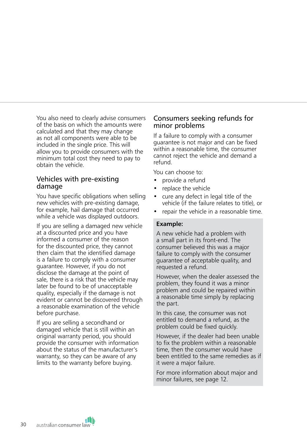You also need to clearly advise consumers of the basis on which the amounts were calculated and that they may change as not all components were able to be included in the single price. This will allow you to provide consumers with the minimum total cost they need to pay to obtain the vehicle.

## Vehicles with pre-existing damage

You have specific obligations when selling new vehicles with pre-existing damage, for example, hail damage that occurred while a vehicle was displayed outdoors.

If you are selling a damaged new vehicle at a discounted price and you have informed a consumer of the reason for the discounted price, they cannot then claim that the identified damage is a failure to comply with a consumer guarantee. However, if you do not disclose the damage at the point of sale, there is a risk that the vehicle may later be found to be of unacceptable quality, especially if the damage is not evident or cannot be discovered through a reasonable examination of the vehicle before purchase.

If you are selling a secondhand or damaged vehicle that is still within an original warranty period, you should provide the consumer with information about the status of the manufacturer's warranty, so they can be aware of any limits to the warranty before buying.

# Consumers seeking refunds for minor problems

If a failure to comply with a consumer guarantee is not major and can be fixed within a reasonable time, the consumer cannot reject the vehicle and demand a refund.

You can choose to:

- provide a refund
- replace the vehicle
- cure any defect in legal title of the vehicle (if the failure relates to title), or
- repair the vehicle in a reasonable time.

#### **Example:**

A new vehicle had a problem with a small part in its front-end. The consumer believed this was a major failure to comply with the consumer guarantee of acceptable quality, and requested a refund.

However, when the dealer assessed the problem, they found it was a minor problem and could be repaired within a reasonable time simply by replacing the part.

In this case, the consumer was not entitled to demand a refund, as the problem could be fixed quickly.

However, if the dealer had been unable to fix the problem within a reasonable time, then the consumer would have been entitled to the same remedies as if it were a major failure.

For more information about major and minor failures, see page 12.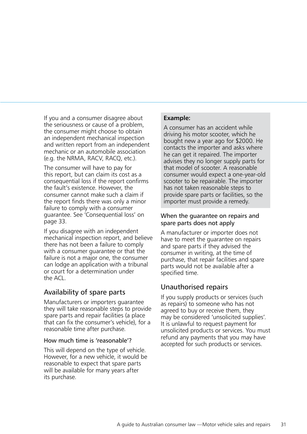If you and a consumer disagree about the seriousness or cause of a problem, the consumer might choose to obtain an independent mechanical inspection and written report from an independent mechanic or an automobile association (e.g. the NRMA, RACV, RACQ, etc.).

The consumer will have to pay for this report, but can claim its cost as a consequential loss if the report confirms the fault's existence. However, the consumer cannot make such a claim if the report finds there was only a minor failure to comply with a consumer guarantee. See 'Consequential loss' on page 33.

If you disagree with an independent mechanical inspection report, and believe there has not been a failure to comply with a consumer quarantee or that the failure is not a major one, the consumer can lodge an application with a tribunal or court for a determination under the ACL.

# Availability of spare parts

Manufacturers or importers guarantee they will take reasonable steps to provide spare parts and repair facilities (a place that can fix the consumer's vehicle), for a reasonable time after purchase.

#### How much time is 'reasonable'?

This will depend on the type of vehicle. However, for a new vehicle, it would be reasonable to expect that spare parts will be available for many years after its purchase.

## **Example:**

A consumer has an accident while driving his motor scooter, which he bought new a year ago for \$2000. He contacts the importer and asks where he can get it repaired. The importer advises they no longer supply parts for that model of scooter. A reasonable consumer would expect a one-year-old scooter to be repairable. The importer has not taken reasonable steps to provide spare parts or facilities, so the importer must provide a remedy.

## When the guarantee on repairs and spare parts does not apply

A manufacturer or importer does not have to meet the guarantee on repairs and spare parts if they advised the consumer in writing, at the time of purchase, that repair facilities and spare parts would not be available after a specified time.

# Unauthorised repairs

If you supply products or services (such as repairs) to someone who has not agreed to buy or receive them, they may be considered 'unsolicited supplies'. It is unlawful to request payment for unsolicited products or services. You must refund any payments that you may have accepted for such products or services.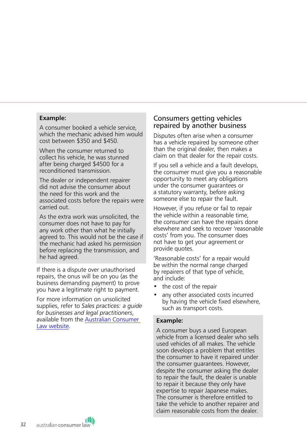#### **Example:**

A consumer booked a vehicle service, which the mechanic advised him would cost between \$350 and \$450.

When the consumer returned to collect his vehicle, he was stunned after being charged \$4500 for a reconditioned transmission.

The dealer or independent repairer did not advise the consumer about the need for this work and the associated costs before the repairs were carried out.

As the extra work was unsolicited, the consumer does not have to pay for any work other than what he initially agreed to. This would not be the case if the mechanic had asked his permission before replacing the transmission, and he had agreed.

If there is a dispute over unauthorised repairs, the onus will be on you (as the business demanding payment) to prove you have a legitimate right to payment.

For more information on unsolicited supplies, refer to *Sales practices: a guide for businesses and legal practitioners*, available from the [Australian Consumer](http://www.consumerlaw.gov.au)  [Law website](http://www.consumerlaw.gov.au).

# Consumers getting vehicles repaired by another business

Disputes often arise when a consumer has a vehicle repaired by someone other than the original dealer, then makes a claim on that dealer for the repair costs.

If you sell a vehicle and a fault develops, the consumer must give you a reasonable opportunity to meet any obligations under the consumer guarantees or a statutory warranty, before asking someone else to repair the fault.

However, if you refuse or fail to repair the vehicle within a reasonable time, the consumer can have the repairs done elsewhere and seek to recover 'reasonable costs' from you. The consumer does not have to get your agreement or provide quotes.

'Reasonable costs' for a repair would be within the normal range charged by repairers of that type of vehicle, and include:

- the cost of the repair
- any other associated costs incurred by having the vehicle fixed elsewhere, such as transport costs.

#### **Example:**

A consumer buys a used European vehicle from a licensed dealer who sells used vehicles of all makes. The vehicle soon develops a problem that entitles the consumer to have it repaired under the consumer guarantees. However, despite the consumer asking the dealer to repair the fault, the dealer is unable to repair it because they only have expertise to repair Japanese makes. The consumer is therefore entitled to take the vehicle to another repairer and claim reasonable costs from the dealer.

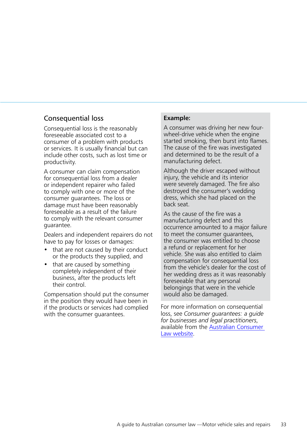## Consequential loss

Consequential loss is the reasonably foreseeable associated cost to a consumer of a problem with products or services. It is usually financial but can include other costs, such as lost time or productivity.

A consumer can claim compensation for consequential loss from a dealer or independent repairer who failed to comply with one or more of the consumer guarantees. The loss or damage must have been reasonably foreseeable as a result of the failure to comply with the relevant consumer guarantee.

Dealers and independent repairers do not have to pay for losses or damages:

- that are not caused by their conduct or the products they supplied, and
- that are caused by something completely independent of their business, after the products left their control.

Compensation should put the consumer in the position they would have been in if the products or services had complied with the consumer guarantees.

#### **Example:**

A consumer was driving her new fourwheel-drive vehicle when the engine started smoking, then burst into flames. The cause of the fire was investigated and determined to be the result of a manufacturing defect.

Although the driver escaped without injury, the vehicle and its interior were severely damaged. The fire also destroyed the consumer's wedding dress, which she had placed on the back seat.

As the cause of the fire was a manufacturing defect and this occurrence amounted to a major failure to meet the consumer guarantees, the consumer was entitled to choose a refund or replacement for her vehicle. She was also entitled to claim compensation for consequential loss from the vehicle's dealer for the cost of her wedding dress as it was reasonably foreseeable that any personal belongings that were in the vehicle would also be damaged.

For more information on consequential loss, see *Consumer guarantees: a guide for businesses and legal practitioners*, available from the [Australian Consumer](http://www.consumerlaw.gov.au)  [Law website](http://www.consumerlaw.gov.au).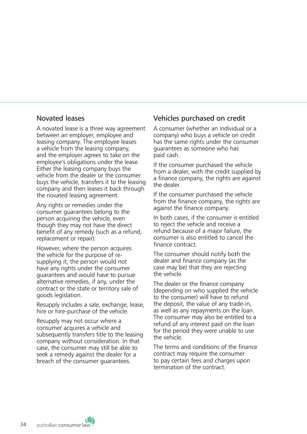## Novated leases

A novated lease is a three way agreement between an employer, employee and leasing company. The employee leases a vehicle from the leasing company, and the employer agrees to take on the employee's obligations under the lease. Either the leasing company buys the vehicle from the dealer or the consumer buys the vehicle, transfers it to the leasing company and then leases it back through the novated leasing agreement.

Any rights or remedies under the consumer guarantees belong to the person acquiring the vehicle, even though they may not have the direct benefit of any remedy (such as a refund, replacement or repair).

However, where the person acquires the vehicle for the purpose of resupplying it, the person would not have any rights under the consumer guarantees and would have to pursue alternative remedies, if any, under the contract or the state or territory sale of goods legislation.

Resupply includes a sale, exchange, lease, hire or hire-purchase of the vehicle.

Resupply may not occur where a consumer acquires a vehicle and subsequently transfers title to the leasing company without consideration. In that case, the consumer may still be able to seek a remedy against the dealer for a breach of the consumer guarantees.

# Vehicles purchased on credit

A consumer (whether an individual or a company) who buys a vehicle on credit has the same rights under the consumer guarantees as someone who has paid cash.

If the consumer purchased the vehicle from a dealer, with the credit supplied by a finance company, the rights are against the dealer.

If the consumer purchased the vehicle from the finance company, the rights are against the finance company.

In both cases, if the consumer is entitled to reject the vehicle and receive a refund because of a major failure, the consumer is also entitled to cancel the finance contract.

The consumer should notify both the dealer and finance company (as the case may be) that they are rejecting the vehicle.

The dealer or the finance company (depending on who supplied the vehicle to the consumer) will have to refund the deposit, the value of any trade-in, as well as any repayments on the loan. The consumer may also be entitled to a refund of any interest paid on the loan for the period they were unable to use the vehicle.

The terms and conditions of the finance contract may require the consumer to pay certain fees and charges upon termination of the contract.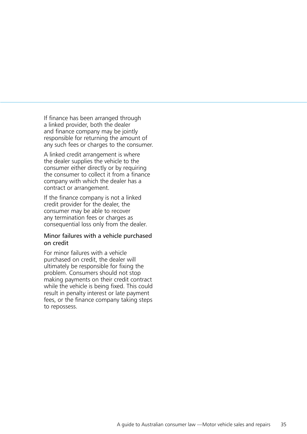If finance has been arranged through a linked provider, both the dealer and finance company may be jointly responsible for returning the amount of any such fees or charges to the consumer.

A linked credit arrangement is where the dealer supplies the vehicle to the consumer either directly or by requiring the consumer to collect it from a finance company with which the dealer has a contract or arrangement.

If the finance company is not a linked credit provider for the dealer, the consumer may be able to recover any termination fees or charges as consequential loss only from the dealer.

#### Minor failures with a vehicle purchased on credit

For minor failures with a vehicle purchased on credit, the dealer will ultimately be responsible for fixing the problem. Consumers should not stop making payments on their credit contract while the vehicle is being fixed. This could result in penalty interest or late payment fees, or the finance company taking steps to repossess.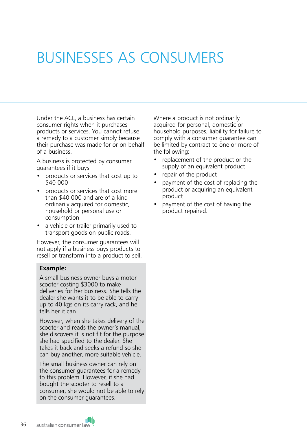# <span id="page-35-0"></span>BUSINESSES AS CONSUMERS

Under the ACL, a business has certain consumer rights when it purchases products or services. You cannot refuse a remedy to a customer simply because their purchase was made for or on behalf of a business.

A business is protected by consumer guarantees if it buys:

- products or services that cost up to \$40 000
- products or services that cost more than \$40 000 and are of a kind ordinarily acquired for domestic, household or personal use or consumption
- a vehicle or trailer primarily used to transport goods on public roads.

However, the consumer guarantees will not apply if a business buys products to resell or transform into a product to sell.

#### **Example:**

A small business owner buys a motor scooter costing \$3000 to make deliveries for her business. She tells the dealer she wants it to be able to carry up to 40 kgs on its carry rack, and he tells her it can.

However, when she takes delivery of the scooter and reads the owner's manual, she discovers it is not fit for the purpose she had specified to the dealer. She takes it back and seeks a refund so she can buy another, more suitable vehicle.

The small business owner can rely on the consumer guarantees for a remedy to this problem. However, if she had bought the scooter to resell to a consumer, she would not be able to rely on the consumer guarantees.

Where a product is not ordinarily acquired for personal, domestic or household purposes, liability for failure to comply with a consumer guarantee can be limited by contract to one or more of the following:

- replacement of the product or the supply of an equivalent product
- repair of the product
- payment of the cost of replacing the product or acquiring an equivalent product
- payment of the cost of having the product repaired.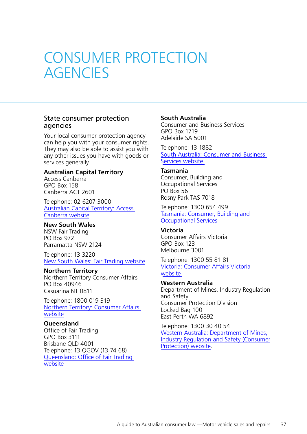# <span id="page-36-0"></span>CONSUMER PROTECTION **AGENCIES**

### State consumer protection agencies

Your local consumer protection agency can help you with your consumer rights. They may also be able to assist you with any other issues you have with goods or services generally.

#### **Australian Capital Territory**

Access Canberra GPO Box 158 Canberra ACT 2601

Telephone: 02 6207 3000 [Australian Capital Territory: Access](https://www.accesscanberra.act.gov.au/#/)  [Canberra website](https://www.accesscanberra.act.gov.au/#/)

#### **New South Wales**

NSW Fair Trading PO Box 972 Parramatta NSW 2124

Telephone: 13 3220 [New South Wales: Fair Trading website](https://www.fairtrading.nsw.gov.au)

#### **Northern Territory**

Northern Territory Consumer Affairs PO Box 40946 Casuarina NT 0811

Telephone: 1800 019 319 [Northern Territory: Consumer Affairs](http://www.consumeraffairs.nt.gov.au/Pages/default.aspx)  [website](http://www.consumeraffairs.nt.gov.au/Pages/default.aspx)

#### **Queensland**

Office of Fair Trading GPO Box 3111 Brisbane QLD 4001 Telephone: 13 QGOV (13 74 68) [Queensland: Office of Fair Trading](https://www.qld.gov.au/law/fair-trading)  [website](https://www.qld.gov.au/law/fair-trading)

#### **South Australia**

Consumer and Business Services GPO Box 1719 Adelaide SA 5001

Telephone: 13 1882 [South Australia: Consumer and Business](https://www.cbs.sa.gov.au)  [Services website](https://www.cbs.sa.gov.au)

#### **Tasmania**

Consumer, Building and Occupational Services PO Box 56 Rosny Park TAS 7018

Telephone: 1300 654 499 [Tasmania: Consumer, Building and](https://www.cbos.tas.gov.au/contact-us)  [Occupational Services](https://www.cbos.tas.gov.au/contact-us)

#### **Victoria**

Consumer Affairs Victoria GPO Box 123 Melbourne 3001

Telephone: 1300 55 81 81 [Victoria: Consumer Affairs Victoria](https://www.consumer.vic.gov.au)  [website](https://www.consumer.vic.gov.au)

#### **Western Australia**

Department of Mines, Industry Regulation and Safety Consumer Protection Division Locked Bag 100 East Perth WA 6892

Telephone: 1300 30 40 54 [Western Australia: Department of Mines,](http://www.commerce.wa.gov.au/consumer-protection)  [Industry Regulation and Safety \(Consumer](http://www.commerce.wa.gov.au/consumer-protection) [Protection\) website](http://www.commerce.wa.gov.au/consumer-protection).